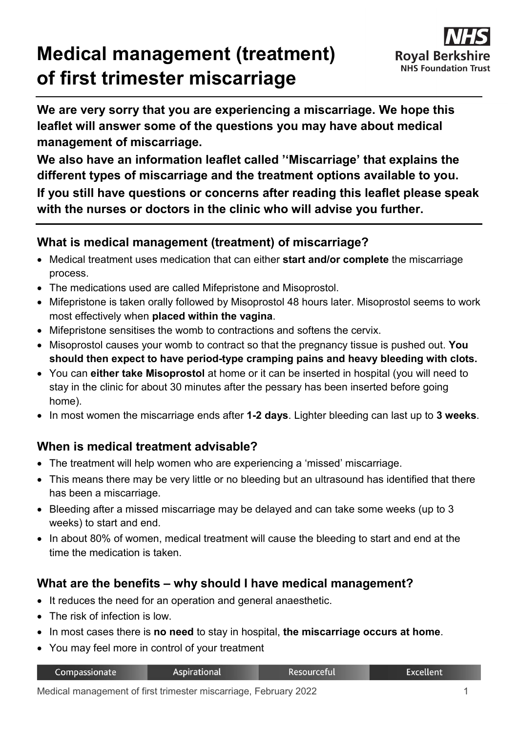# **Medical management (treatment) of first trimester miscarriage**



**We are very sorry that you are experiencing a miscarriage. We hope this leaflet will answer some of the questions you may have about medical management of miscarriage.** 

**We also have an information leaflet called ''Miscarriage' that explains the different types of miscarriage and the treatment options available to you. If you still have questions or concerns after reading this leaflet please speak with the nurses or doctors in the clinic who will advise you further.**

## **What is medical management (treatment) of miscarriage?**

- Medical treatment uses medication that can either **start and/or complete** the miscarriage process.
- The medications used are called Mifepristone and Misoprostol.
- Mifepristone is taken orally followed by Misoprostol 48 hours later. Misoprostol seems to work most effectively when **placed within the vagina**.
- Mifepristone sensitises the womb to contractions and softens the cervix.
- Misoprostol causes your womb to contract so that the pregnancy tissue is pushed out. **You should then expect to have period-type cramping pains and heavy bleeding with clots.**
- You can **either take Misoprostol** at home or it can be inserted in hospital (you will need to stay in the clinic for about 30 minutes after the pessary has been inserted before going home).
- In most women the miscarriage ends after **1-2 days**. Lighter bleeding can last up to **3 weeks**.

# **When is medical treatment advisable?**

- The treatment will help women who are experiencing a 'missed' miscarriage.
- This means there may be very little or no bleeding but an ultrasound has identified that there has been a miscarriage.
- Bleeding after a missed miscarriage may be delayed and can take some weeks (up to 3 weeks) to start and end.
- In about 80% of women, medical treatment will cause the bleeding to start and end at the time the medication is taken.

# **What are the benefits – why should I have medical management?**

- It reduces the need for an operation and general anaesthetic.
- The risk of infection is low.
- In most cases there is **no need** to stay in hospital, **the miscarriage occurs at home**.
- You may feel more in control of your treatment

| Compassionate | Aspirational | Resourceful | Excellent |
|---------------|--------------|-------------|-----------|
|               |              |             |           |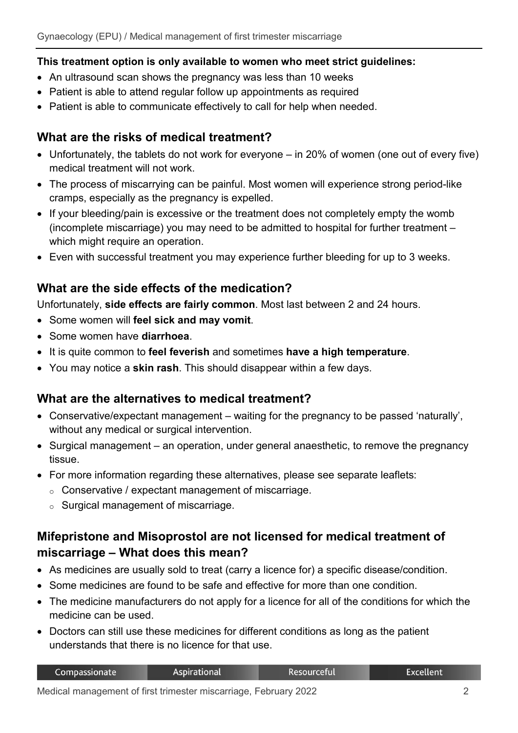#### **This treatment option is only available to women who meet strict guidelines:**

- An ultrasound scan shows the pregnancy was less than 10 weeks
- Patient is able to attend regular follow up appointments as required
- Patient is able to communicate effectively to call for help when needed.

## **What are the risks of medical treatment?**

- Unfortunately, the tablets do not work for everyone in 20% of women (one out of every five) medical treatment will not work.
- The process of miscarrying can be painful. Most women will experience strong period-like cramps, especially as the pregnancy is expelled.
- If your bleeding/pain is excessive or the treatment does not completely empty the womb (incomplete miscarriage) you may need to be admitted to hospital for further treatment – which might require an operation.
- Even with successful treatment you may experience further bleeding for up to 3 weeks.

# **What are the side effects of the medication?**

Unfortunately, **side effects are fairly common**. Most last between 2 and 24 hours.

- Some women will **feel sick and may vomit**.
- Some women have **diarrhoea**.
- It is quite common to **feel feverish** and sometimes **have a high temperature**.
- You may notice a **skin rash**. This should disappear within a few days.

## **What are the alternatives to medical treatment?**

- Conservative/expectant management waiting for the pregnancy to be passed 'naturally', without any medical or surgical intervention.
- Surgical management an operation, under general anaesthetic, to remove the pregnancy tissue.
- For more information regarding these alternatives, please see separate leaflets:
	- o Conservative / expectant management of miscarriage.
	- o Surgical management of miscarriage.

# **Mifepristone and Misoprostol are not licensed for medical treatment of miscarriage – What does this mean?**

- As medicines are usually sold to treat (carry a licence for) a specific disease/condition.
- Some medicines are found to be safe and effective for more than one condition.
- The medicine manufacturers do not apply for a licence for all of the conditions for which the medicine can be used.
- Doctors can still use these medicines for different conditions as long as the patient understands that there is no licence for that use.

| Compassionate | Aspirational | . Resourceful' | Excellent |
|---------------|--------------|----------------|-----------|
|               |              |                |           |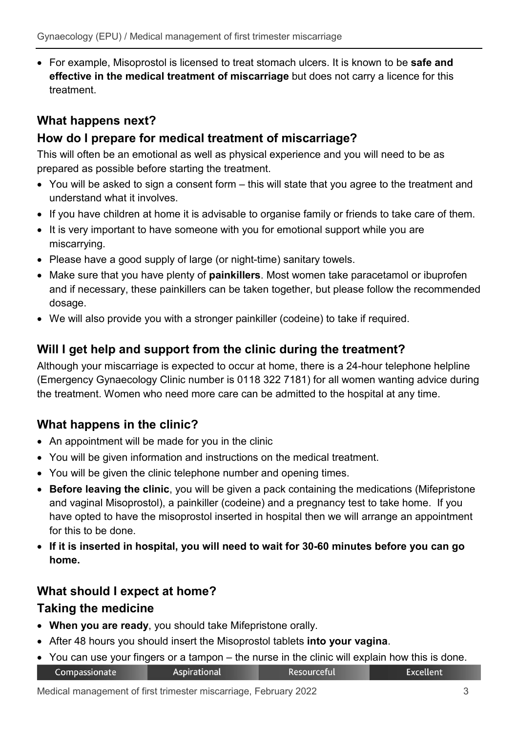• For example, Misoprostol is licensed to treat stomach ulcers. It is known to be **safe and effective in the medical treatment of miscarriage** but does not carry a licence for this treatment.

# **What happens next?**

# **How do I prepare for medical treatment of miscarriage?**

This will often be an emotional as well as physical experience and you will need to be as prepared as possible before starting the treatment.

- You will be asked to sign a consent form this will state that you agree to the treatment and understand what it involves.
- If you have children at home it is advisable to organise family or friends to take care of them.
- It is very important to have someone with you for emotional support while you are miscarrying.
- Please have a good supply of large (or night-time) sanitary towels.
- Make sure that you have plenty of **painkillers**. Most women take paracetamol or ibuprofen and if necessary, these painkillers can be taken together, but please follow the recommended dosage.
- We will also provide you with a stronger painkiller (codeine) to take if required.

## **Will I get help and support from the clinic during the treatment?**

Although your miscarriage is expected to occur at home, there is a 24-hour telephone helpline (Emergency Gynaecology Clinic number is 0118 322 7181) for all women wanting advice during the treatment. Women who need more care can be admitted to the hospital at any time.

# **What happens in the clinic?**

- An appointment will be made for you in the clinic
- You will be given information and instructions on the medical treatment.
- You will be given the clinic telephone number and opening times.
- **Before leaving the clinic**, you will be given a pack containing the medications (Mifepristone and vaginal Misoprostol), a painkiller (codeine) and a pregnancy test to take home. If you have opted to have the misoprostol inserted in hospital then we will arrange an appointment for this to be done.
- **If it is inserted in hospital, you will need to wait for 30-60 minutes before you can go home.**

# **What should I expect at home?**

#### **Taking the medicine**

- **When you are ready**, you should take Mifepristone orally.
- After 48 hours you should insert the Misoprostol tablets **into your vagina**.
- You can use your fingers or a tampon the nurse in the clinic will explain how this is done.Compassionate Aspirational Resourceful **Excellent**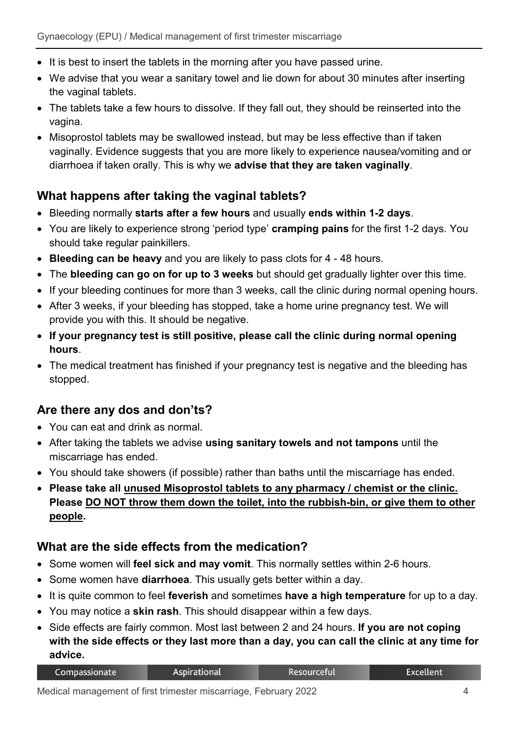- It is best to insert the tablets in the morning after you have passed urine.
- We advise that you wear a sanitary towel and lie down for about 30 minutes after inserting the vaginal tablets.
- The tablets take a few hours to dissolve. If they fall out, they should be reinserted into the vagina.
- Misoprostol tablets may be swallowed instead, but may be less effective than if taken vaginally. Evidence suggests that you are more likely to experience nausea/vomiting and or diarrhoea if taken orally. This is why we **advise that they are taken vaginally**.

## **What happens after taking the vaginal tablets?**

- Bleeding normally **starts after a few hours** and usually **ends within 1-2 days**.
- You are likely to experience strong 'period type' **cramping pains** for the first 1-2 days. You should take regular painkillers.
- **Bleeding can be heavy** and you are likely to pass clots for 4 48 hours.
- The **bleeding can go on for up to 3 weeks** but should get gradually lighter over this time.
- If your bleeding continues for more than 3 weeks, call the clinic during normal opening hours.
- After 3 weeks, if your bleeding has stopped, take a home urine pregnancy test. We will provide you with this. It should be negative.
- **If your pregnancy test is still positive, please call the clinic during normal opening hours**.
- The medical treatment has finished if your pregnancy test is negative and the bleeding has stopped.

# **Are there any dos and don'ts?**

- You can eat and drink as normal.
- After taking the tablets we advise **using sanitary towels and not tampons** until the miscarriage has ended.
- You should take showers (if possible) rather than baths until the miscarriage has ended.
- **Please take all unused Misoprostol tablets to any pharmacy / chemist or the clinic. Please DO NOT throw them down the toilet, into the rubbish-bin, or give them to other people.**

# **What are the side effects from the medication?**

- Some women will **feel sick and may vomit**. This normally settles within 2-6 hours.
- Some women have **diarrhoea**. This usually gets better within a day.
- It is quite common to feel **feverish** and sometimes **have a high temperature** for up to a day.
- You may notice a **skin rash**. This should disappear within a few days.
- Side effects are fairly common. Most last between 2 and 24 hours. **If you are not coping with the side effects or they last more than a day, you can call the clinic at any time for advice.**

| Compassionate | <b>Aspirational</b> | <b>Resourceful</b> | <b>Excellent</b> |
|---------------|---------------------|--------------------|------------------|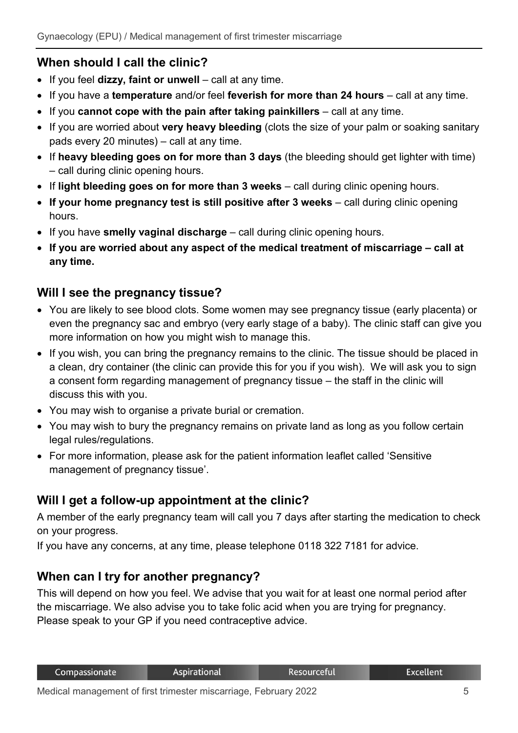# **When should I call the clinic?**

- If you feel **dizzy, faint or unwell** call at any time.
- If you have a **temperature** and/or feel **feverish for more than 24 hours** call at any time.
- If you **cannot cope with the pain after taking painkillers** call at any time.
- If you are worried about **very heavy bleeding** (clots the size of your palm or soaking sanitary pads every 20 minutes) – call at any time.
- If **heavy bleeding goes on for more than 3 days** (the bleeding should get lighter with time) – call during clinic opening hours.
- If **light bleeding goes on for more than 3 weeks** call during clinic opening hours.
- **If your home pregnancy test is still positive after 3 weeks** call during clinic opening hours.
- If you have **smelly vaginal discharge** call during clinic opening hours.
- **If you are worried about any aspect of the medical treatment of miscarriage – call at any time.**

## **Will I see the pregnancy tissue?**

- You are likely to see blood clots. Some women may see pregnancy tissue (early placenta) or even the pregnancy sac and embryo (very early stage of a baby). The clinic staff can give you more information on how you might wish to manage this.
- If you wish, you can bring the pregnancy remains to the clinic. The tissue should be placed in a clean, dry container (the clinic can provide this for you if you wish). We will ask you to sign a consent form regarding management of pregnancy tissue – the staff in the clinic will discuss this with you.
- You may wish to organise a private burial or cremation.
- You may wish to bury the pregnancy remains on private land as long as you follow certain legal rules/regulations.
- For more information, please ask for the patient information leaflet called 'Sensitive management of pregnancy tissue'.

## **Will I get a follow-up appointment at the clinic?**

A member of the early pregnancy team will call you 7 days after starting the medication to check on your progress.

If you have any concerns, at any time, please telephone 0118 322 7181 for advice.

# **When can I try for another pregnancy?**

This will depend on how you feel. We advise that you wait for at least one normal period after the miscarriage. We also advise you to take folic acid when you are trying for pregnancy. Please speak to your GP if you need contraceptive advice.